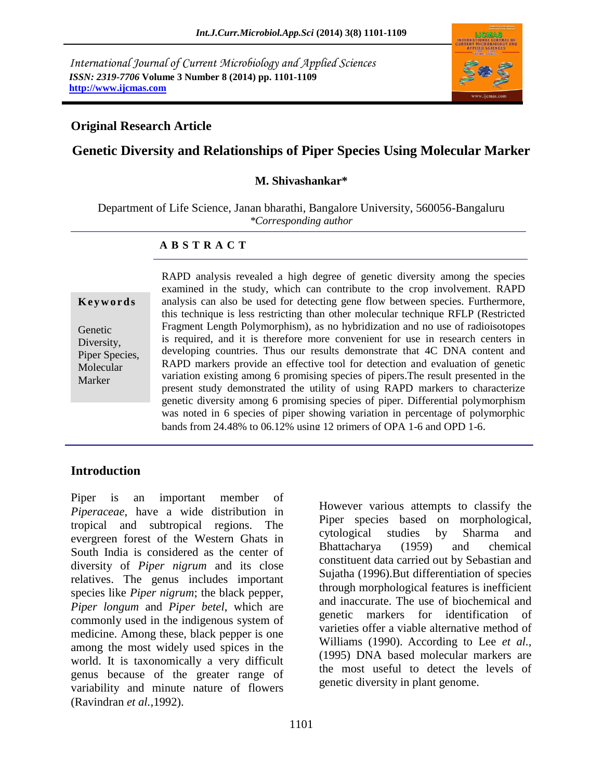*International Journal of Current Microbiology and Applied Sciences ISSN: 2319-7706* **Volume 3 Number 8 (2014) pp. 1101-1109 http://www.ijcmas.com**

# **Original Research Article**

## **Genetic Diversity and Relationships of Piper Species Using Molecular Marker**

#### **M. Shivashankar\***

Department of Life Science, Janan bharathi, Bangalore University, 560056-Bangaluru *\*Corresponding author*

#### **A B S T R A C T**

**K e y w o r d s**

Genetic Diversity, Piper Species, Molecular Marker

RAPD analysis revealed a high degree of genetic diversity among the species examined in the study, which can contribute to the crop involvement. RAPD analysis can also be used for detecting gene flow between species. Furthermore, this technique is less restricting than other molecular technique RFLP (Restricted Fragment Length Polymorphism), as no hybridization and no use of radioisotopes is required, and it is therefore more convenient for use in research centers in developing countries. Thus our results demonstrate that 4C DNA content and RAPD markers provide an effective tool for detection and evaluation of genetic variation existing among 6 promising species of pipers.The result presented in the present study demonstrated the utility of using RAPD markers to characterize genetic diversity among 6 promising species of piper. Differential polymorphism was noted in 6 species of piper showing variation in percentage of polymorphic bands from 24.48% to 06.12% using 12 primers of OPA 1-6 and OPD 1-6.

#### **Introduction**

Piper is an important member of *Piperaceae*, have a wide distribution in tropical and subtropical regions. The evergreen forest of the Western Ghats in South India is considered as the center of diversity of *Piper nigrum* and its close relatives. The genus includes important species like *Piper nigrum*; the black pepper, *Piper longum* and *Piper betel*, which are commonly used in the indigenous system of medicine. Among these, black pepper is one among the most widely used spices in the world. It is taxonomically a very difficult genus because of the greater range of variability and minute nature of flowers (Ravindran *et al.,*1992).

However various attempts to classify the Piper species based on morphological, cytological studies by Sharma and Bhattacharya (1959) and chemical constituent data carried out by Sebastian and Sujatha (1996).But differentiation of species through morphological features is inefficient and inaccurate. The use of biochemical and genetic markers for identification of varieties offer a viable alternative method of Williams (1990). According to Lee *et al.,* (1995) DNA based molecular markers are the most useful to detect the levels of genetic diversity in plant genome.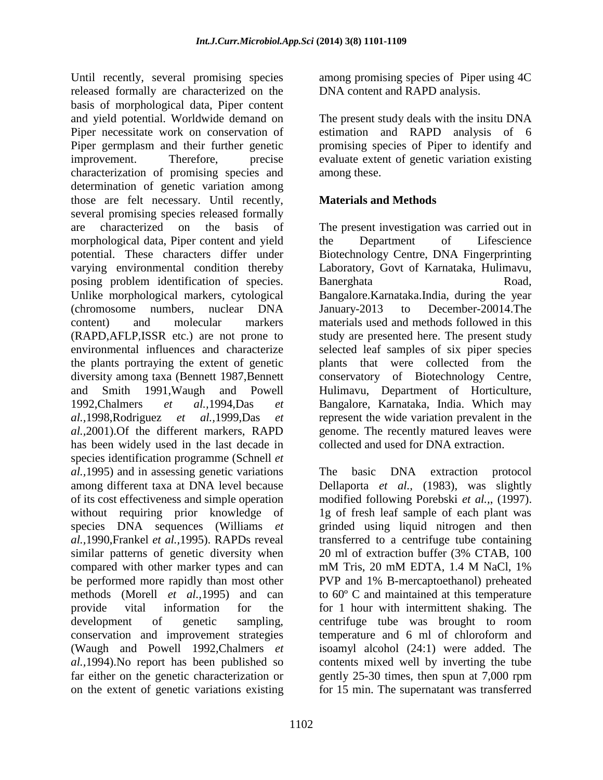Until recently, several promising species released formally are characterized on the basis of morphological data, Piper content and yield potential. Worldwide demand on Piper necessitate work on conservation of Piper germplasm and their further genetic improvement. Therefore, precise characterization of promising species and determination of genetic variation among those are felt necessary. Until recently, several promising species released formally are characterized on the basis of morphological data, Piper content and yield potential. These characters differ under varying environmental condition thereby posing problem identification of species. Unlike morphological markers, cytological (chromosome numbers, nuclear DNA content) and molecular markers (RAPD,AFLP,ISSR etc.) are not prone to environmental influences and characterize the plants portraying the extent of genetic diversity among taxa (Bennett 1987,Bennett and Smith 1991,Waugh and Powell 1992,Chalmers *et al.,*1994,Das *et al.,*1998,Rodriguez *et al.,*1999,Das *et al.,*2001).Of the different markers, RAPD has been widely used in the last decade in species identification programme (Schnell *et al.,*1995) and in assessing genetic variations among different taxa at DNA level because of its cost effectiveness and simple operation without requiring prior knowledge of species DNA sequences (Williams *et al.,*1990,Frankel *et al.,*1995). RAPDs reveal similar patterns of genetic diversity when compared with other marker types and can be performed more rapidly than most other methods (Morell *et al.,*1995) and can provide vital information for the development of genetic sampling, conservation and improvement strategies (Waugh and Powell 1992,Chalmers *et al.,*1994).No report has been published so far either on the genetic characterization or on the extent of genetic variations existing

among promising species of Piper using 4C DNA content and RAPD analysis.

The present study deals with the insitu DNA estimation and RAPD analysis of 6 promising species of Piper to identify and evaluate extent of genetic variation existing among these.

## **Materials and Methods**

The present investigation was carried out in the Department of Lifescience Biotechnology Centre, DNA Fingerprinting Laboratory, Govt of Karnataka, Hulimavu, Banerghata Road, Bangalore.Karnataka.India, during the year January-2013 to December-20014.The materials used and methods followed in this study are presented here. The present study selected leaf samples of six piper species plants that were collected from the conservatory of Biotechnology Centre, Hulimavu, Department of Horticulture, Bangalore, Karnataka, India. Which may represent the wide variation prevalent in the genome. The recently matured leaves were collected and used for DNA extraction.

The basic DNA extraction protocol Dellaporta *et al.,* (1983), was slightly modified following Porebski *et al.,*, (1997). 1g of fresh leaf sample of each plant was grinded using liquid nitrogen and then transferred to a centrifuge tube containing 20 ml of extraction buffer (3% CTAB, 100 mM Tris, 20 mM EDTA, 1.4 M NaCl, 1% PVP and 1% B-mercaptoethanol) preheated to 60º C and maintained at this temperature for 1 hour with intermittent shaking. The centrifuge tube was brought to room temperature and 6 ml of chloroform and isoamyl alcohol (24:1) were added. The contents mixed well by inverting the tube gently 25-30 times, then spun at 7,000 rpm for 15 min. The supernatant was transferred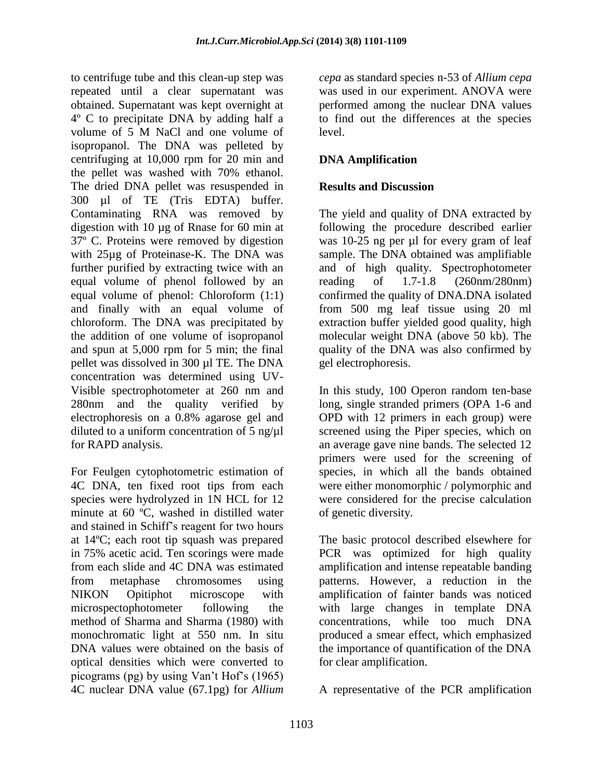to centrifuge tube and this clean-up step was repeated until a clear supernatant was obtained. Supernatant was kept overnight at 4º C to precipitate DNA by adding half a volume of 5 M NaCl and one volume of isopropanol. The DNA was pelleted by centrifuging at 10,000 rpm for 20 min and the pellet was washed with 70% ethanol. The dried DNA pellet was resuspended in 300 µl of TE (Tris EDTA) buffer. Contaminating RNA was removed by digestion with 10 µg of Rnase for 60 min at 37º C. Proteins were removed by digestion with 25µg of Proteinase-K. The DNA was further purified by extracting twice with an equal volume of phenol followed by an equal volume of phenol: Chloroform (1:1) and finally with an equal volume of chloroform. The DNA was precipitated by the addition of one volume of isopropanol and spun at 5,000 rpm for 5 min; the final pellet was dissolved in 300 µl TE. The DNA concentration was determined using UV-Visible spectrophotometer at 260 nm and 280nm and the quality verified by electrophoresis on a 0.8% agarose gel and diluted to a uniform concentration of  $5$  ng/ $\mu$ l for RAPD analysis.

For Feulgen cytophotometric estimation of 4C DNA, ten fixed root tips from each species were hydrolyzed in 1N HCL for 12 minute at 60 ºC, washed in distilled water and stained in Schiff's reagent for two hours at 14ºC; each root tip squash was prepared in 75% acetic acid. Ten scorings were made from each slide and 4C DNA was estimated from metaphase chromosomes using NIKON Opitiphot microscope with microspectophotometer following the method of Sharma and Sharma (1980) with monochromatic light at 550 nm. In situ DNA values were obtained on the basis of optical densities which were converted to picograms (pg) by using Van't Hof's (1965) 4C nuclear DNA value (67.1pg) for *Allium* 

*cepa* as standard species n-53 of *Allium cepa* was used in our experiment. ANOVA were performed among the nuclear DNA values to find out the differences at the species level.

## **DNA Amplification**

### **Results and Discussion**

The yield and quality of DNA extracted by following the procedure described earlier was 10-25 ng per µl for every gram of leaf sample. The DNA obtained was amplifiable and of high quality. Spectrophotometer reading of 1.7-1.8 (260nm/280nm) confirmed the quality of DNA.DNA isolated from 500 mg leaf tissue using 20 ml extraction buffer yielded good quality, high molecular weight DNA (above 50 kb). The quality of the DNA was also confirmed by gel electrophoresis.

In this study, 100 Operon random ten-base long, single stranded primers (OPA 1-6 and OPD with 12 primers in each group) were screened using the Piper species, which on an average gave nine bands. The selected 12 primers were used for the screening of species, in which all the bands obtained were either monomorphic / polymorphic and were considered for the precise calculation of genetic diversity.

The basic protocol described elsewhere for PCR was optimized for high quality amplification and intense repeatable banding patterns. However, a reduction in the amplification of fainter bands was noticed with large changes in template DNA concentrations, while too much DNA produced a smear effect, which emphasized the importance of quantification of the DNA for clear amplification.

A representative of the PCR amplification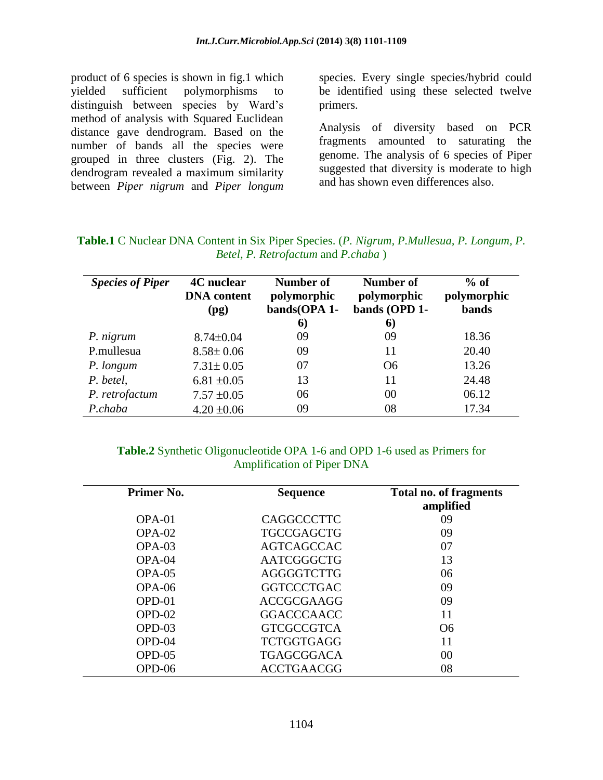product of 6 species is shown in fig.1 which yielded sufficient polymorphisms to distinguish between species by Ward's method of analysis with Squared Euclidean distance gave dendrogram. Based on the number of bands all the species were grouped in three clusters (Fig. 2). The dendrogram revealed a maximum similarity between *Piper nigrum* and *Piper longum*

species. Every single species/hybrid could be identified using these selected twelve primers.

Analysis of diversity based on PCR fragments amounted to saturating the genome. The analysis of 6 species of Piper suggested that diversity is moderate to high and has shown even differences also.

| <b>Species of Piper</b> | <b>4C</b> nuclear<br><b>DNA</b> content<br>(pg) | Number of<br>polymorphic<br>bands(OPA 1-<br>6) | Number of<br>polymorphic<br>bands (OPD 1-<br>6 | $%$ of<br>polymorphic<br><b>bands</b> |
|-------------------------|-------------------------------------------------|------------------------------------------------|------------------------------------------------|---------------------------------------|
| P. nigrum               | $8.74 \pm 0.04$                                 | 09                                             | 09                                             | 18.36                                 |
| P.mullesua              | $8.58 \pm 0.06$                                 | 09                                             | 11                                             | 20.40                                 |
| P. longum               | $7.31 \pm 0.05$                                 | 07                                             | O <sub>6</sub>                                 | 13.26                                 |
| P. betel,               | $6.81 \pm 0.05$                                 | 13                                             | 11                                             | 24.48                                 |
| P. retrofactum          | $7.57 \pm 0.05$                                 | 06                                             | 00                                             | 06.12                                 |
| P.chaba                 | $4.20 \pm 0.06$                                 | 09                                             | 08                                             | 17.34                                 |

| <b>Table.1</b> C Nuclear DNA Content in Six Piper Species. (P. Nigrum, P.Mullesua, P. Longum, P. |  |
|--------------------------------------------------------------------------------------------------|--|
| Betel, P. Retrofactum and P.chaba)                                                               |  |

#### **Table.2** Synthetic Oligonucleotide OPA 1-6 and OPD 1-6 used as Primers for Amplification of Piper DNA

| Primer No. | <b>Sequence</b>   | <b>Total no. of fragments</b><br>amplified |
|------------|-------------------|--------------------------------------------|
| OPA-01     | CAGGCCCTTC        | 09                                         |
| $OPA-02$   | <b>TGCCGAGCTG</b> | 09                                         |
| $OPA-03$   | <b>AGTCAGCCAC</b> | 07                                         |
| $OPA-04$   | <b>AATCGGGCTG</b> | 13                                         |
| $OPA-05$   | <b>AGGGGTCTTG</b> | 06                                         |
| $OPA-06$   | <b>GGTCCCTGAC</b> | 09                                         |
| $OPD-01$   | <b>ACCGCGAAGG</b> | 09                                         |
| $OPD-02$   | <b>GGACCCAACC</b> | 11                                         |
| $OPD-03$   | <b>GTCGCCGTCA</b> | O <sub>6</sub>                             |
| $OPD-04$   | <b>TCTGGTGAGG</b> | 11                                         |
| $OPD-05$   | <b>TGAGCGGACA</b> | 00                                         |
| OPD-06     | <b>ACCTGAACGG</b> | 08                                         |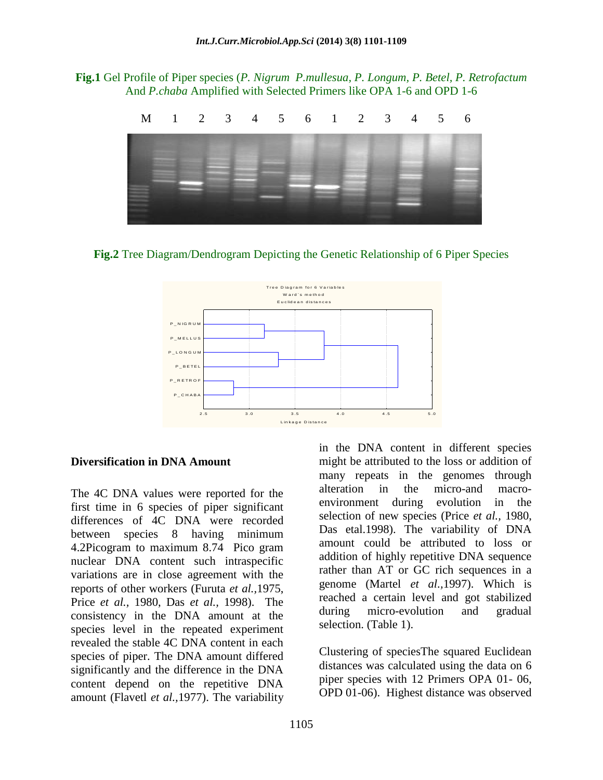**Fig.1** Gel Profile of Piper species (*P. Nigrum P.mullesua, P. Longum, P. Betel, P. Retrofactum* And *P.chaba* Amplified with Selected Primers like OPA 1-6 and OPD 1-6



**Fig.2** Tree Diagram/Dendrogram Depicting the Genetic Relationship of 6 Piper Species



#### **Diversification in DNA Amount**

The 4C DNA values were reported for the first time in 6 species of piper significant differences of 4C DNA were recorded between species 8 having minimum 4.2Picogram to maximum 8.74 Pico gram nuclear DNA content such intraspecific variations are in close agreement with the reports of other workers (Furuta *et al.,*1975, Price *et al.,* 1980, Das *et al.,* 1998). The consistency in the DNA amount at the species level in the repeated experiment revealed the stable 4C DNA content in each species of piper. The DNA amount differed significantly and the difference in the DNA content depend on the repetitive DNA amount (Flavetl *et al.,*1977). The variability

in the DNA content in different species might be attributed to the loss or addition of many repeats in the genomes through alteration in the micro-and macroenvironment during evolution in the selection of new species (Price *et al.,* 1980, Das etal.1998). The variability of DNA amount could be attributed to loss or addition of highly repetitive DNA sequence rather than AT or GC rich sequences in a genome (Martel *et al.,*1997). Which is reached a certain level and got stabilized during micro-evolution and gradual selection. (Table 1).

Clustering of speciesThe squared Euclidean distances was calculated using the data on 6 piper species with 12 Primers OPA 01- 06, OPD 01-06). Highest distance was observed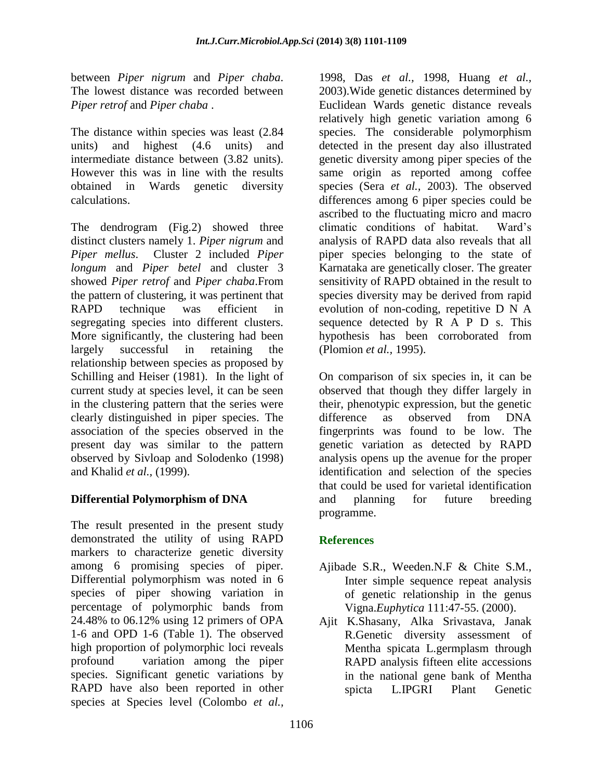between *Piper nigrum* and *Piper chaba*. The lowest distance was recorded between *Piper retrof* and *Piper chaba* .

The distance within species was least (2.84 units) and highest (4.6 units) and intermediate distance between (3.82 units). However this was in line with the results obtained in Wards genetic diversity calculations.

The dendrogram (Fig.2) showed three distinct clusters namely 1. *Piper nigrum* and *Piper mellus*. Cluster 2 included *Piper longum* and *Piper betel* and cluster 3 showed *Piper retrof* and *Piper chaba*.From the pattern of clustering, it was pertinent that RAPD technique was efficient in segregating species into different clusters. More significantly, the clustering had been largely successful in retaining the relationship between species as proposed by Schilling and Heiser (1981). In the light of current study at species level, it can be seen in the clustering pattern that the series were clearly distinguished in piper species. The association of the species observed in the present day was similar to the pattern observed by Sivloap and Solodenko (1998) and Khalid *et al.,* (1999).

## **Differential Polymorphism of DNA**

The result presented in the present study demonstrated the utility of using RAPD markers to characterize genetic diversity among 6 promising species of piper. Differential polymorphism was noted in 6 species of piper showing variation in percentage of polymorphic bands from 24.48% to 06.12% using 12 primers of OPA 1-6 and OPD 1-6 (Table 1). The observed high proportion of polymorphic loci reveals profound variation among the piper species. Significant genetic variations by RAPD have also been reported in other species at Species level (Colombo *et al.,*

1998, Das *et al.,* 1998, Huang *et al.,* 2003).Wide genetic distances determined by Euclidean Wards genetic distance reveals relatively high genetic variation among 6 species. The considerable polymorphism detected in the present day also illustrated genetic diversity among piper species of the same origin as reported among coffee species (Sera *et al.,* 2003). The observed differences among 6 piper species could be ascribed to the fluctuating micro and macro climatic conditions of habitat. Ward's analysis of RAPD data also reveals that all piper species belonging to the state of Karnataka are genetically closer. The greater sensitivity of RAPD obtained in the result to species diversity may be derived from rapid evolution of non-coding, repetitive D N A sequence detected by R A P D s. This hypothesis has been corroborated from (Plomion *et al.,* 1995).

On comparison of six species in, it can be observed that though they differ largely in their, phenotypic expression, but the genetic difference as observed from DNA fingerprints was found to be low. The genetic variation as detected by RAPD analysis opens up the avenue for the proper identification and selection of the species that could be used for varietal identification and planning for future breeding programme.

## **References**

- Ajibade S.R., Weeden.N.F & Chite S.M., Inter simple sequence repeat analysis of genetic relationship in the genus Vigna.*Euphytica* 111:47-55. (2000).
- Ajit K.Shasany, Alka Srivastava, Janak R.Genetic diversity assessment of Mentha spicata L.germplasm through RAPD analysis fifteen elite accessions in the national gene bank of Mentha spicta L.IPGRI Plant Genetic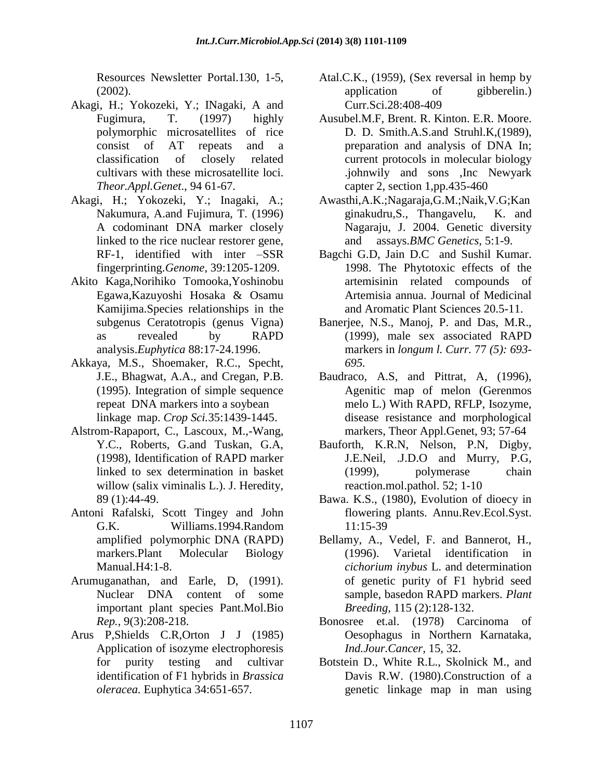Resources Newsletter Portal.130, 1-5, (2002).

- Akagi, H.; Yokozeki, Y.; INagaki, A and Fugimura, T. (1997) highly polymorphic microsatellites of rice consist of AT repeats and a classification of closely related cultivars with these microsatellite loci. *Theor.Appl.Genet*., 94 61-67.
- Akagi, H.; Yokozeki, Y.; Inagaki, A.; Nakumura, A.and Fujimura, T. (1996) A codominant DNA marker closely linked to the rice nuclear restorer gene, RF-1, identified with inter –SSR fingerprinting.*Genome*, 39:1205-1209.
- Akito Kaga,Norihiko Tomooka,Yoshinobu Egawa,Kazuyoshi Hosaka & Osamu Kamijima.Species relationships in the subgenus Ceratotropis (genus Vigna) as revealed by RAPD analysis.*Euphytica* 88:17-24.1996.
- Akkaya, M.S., Shoemaker, R.C., Specht, J.E., Bhagwat, A.A., and Cregan, P.B. (1995). Integration of simple sequence repeat DNA markers into a soybean linkage map. *Crop Sci.*35:1439-1445.
- Alstrom-Rapaport, C., Lascoux, M.,-Wang, Y.C., Roberts, G.and Tuskan, G.A, (1998), Identification of RAPD marker linked to sex determination in basket willow (salix viminalis L.). J. Heredity, 89 (1):44-49.
- Antoni Rafalski, Scott Tingey and John G.K. Williams.1994.Random amplified polymorphic DNA (RAPD) markers.Plant Molecular Biology Manual.H4:1-8.
- Arumuganathan, and Earle, D, (1991). Nuclear DNA content of some important plant species Pant.Mol.Bio *Rep.,* 9(3):208-218.
- Arus P,Shields C.R,Orton J J (1985) Application of isozyme electrophoresis for purity testing and cultivar identification of F1 hybrids in *Brassica oleracea.* Euphytica 34:651-657.
- Atal.C.K., (1959), (Sex reversal in hemp by application of gibberelin.) Curr.Sci.28:408-409
- Ausubel.M.F, Brent. R. Kinton. E.R. Moore. D. D. Smith.A.S.and Struhl.K,(1989), preparation and analysis of DNA In; current protocols in molecular biology .johnwily and sons ,Inc Newyark capter 2, section 1,pp.435-460
- Awasthi,A.K.;Nagaraja,G.M.;Naik,V.G;Kan ginakudru,S., Thangavelu, K. and Nagaraju, J. 2004. Genetic diversity and assays.*BMC Genetics,* 5:1-9.
- Bagchi G.D, Jain D.C and Sushil Kumar. 1998. The Phytotoxic effects of the artemisinin related compounds of Artemisia annua. Journal of Medicinal and Aromatic Plant Sciences 20.5-11.
- Banerjee, N.S., Manoj, P. and Das, M.R., (1999), male sex associated RAPD markers in *longum l. Curr.* 77 *(5): 693- 695.*
- Baudraco, A.S, and Pittrat, A, (1996), Agenitic map of melon (Gerenmos melo L.) With RAPD, RFLP, Isozyme, disease resistance and morphological markers, Theor Appl.Genet, 93; 57-64
- Bauforth, K.R.N, Nelson, P.N, Digby, J.E.Neil, .J.D.O and Murry, P.G, (1999), polymerase chain reaction.mol.pathol. 52; 1-10
- Bawa. K.S., (1980), Evolution of dioecy in flowering plants. Annu.Rev.Ecol.Syst. 11:15-39
- Bellamy, A., Vedel, F. and Bannerot, H., (1996). Varietal identification in *cichorium inybus* L. and determination of genetic purity of F1 hybrid seed sample, basedon RAPD markers. *Plant Breeding,* 115 (2):128-132.
- Bonosree et.al. (1978) Carcinoma of Oesophagus in Northern Karnataka, *Ind.Jour.Cancer,* 15, 32.
- Botstein D., White R.L., Skolnick M., and Davis R.W. (1980).Construction of a genetic linkage map in man using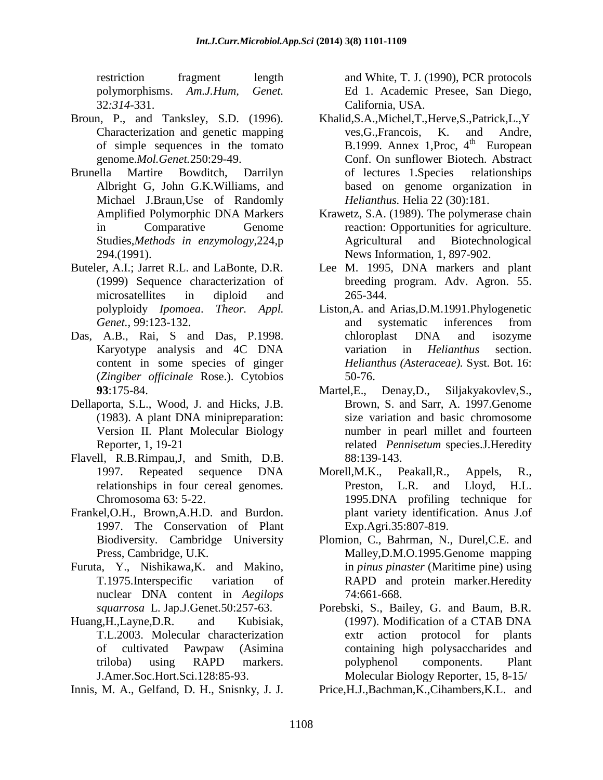restriction fragment length polymorphisms. *Am.J.Hum, Genet.* 32*:314*-331.

- Broun, P., and Tanksley, S.D. (1996). Characterization and genetic mapping of simple sequences in the tomato genome.*Mol.Genet.*250:29-49.
- Brunella Martire Bowditch, Darrilyn Albright G, John G.K.Williams, and Michael J.Braun,Use of Randomly Amplified Polymorphic DNA Markers in Comparative Genome Studies,*Methods in enzymology,*224,p 294.(1991).
- Buteler, A.I.; Jarret R.L. and LaBonte, D.R. (1999) Sequence characterization of microsatellites in diploid and polyploidy *Ipomoea*. *Theor. Appl. Genet.,* 99:123-132.
- Das, A.B., Rai, S and Das, P.1998. Karyotype analysis and 4C DNA content in some species of ginger (*Zingiber officinale* Rose.). Cytobios **93**:175-84.
- Dellaporta, S.L., Wood, J. and Hicks, J.B. (1983). A plant DNA minipreparation: Version II. Plant Molecular Biology Reporter, 1, 19-21
- Flavell, R.B.Rimpau,J, and Smith, D.B. 1997. Repeated sequence DNA relationships in four cereal genomes. Chromosoma 63: 5-22.
- Frankel,O.H., Brown,A.H.D. and Burdon. 1997. The Conservation of Plant Biodiversity. Cambridge University Press, Cambridge, U.K.
- Furuta, Y., Nishikawa,K. and Makino, T.1975.Interspecific variation of nuclear DNA content in *Aegilops squarrosa* L. Jap.J.Genet.50:257-63.
- Huang,H.,Layne,D.R. and Kubisiak, T.L.2003. Molecular characterization of cultivated Pawpaw (Asimina triloba) using RAPD markers. J.Amer.Soc.Hort.Sci.128:85-93.
- Innis, M. A., Gelfand, D. H., Snisnky, J. J.

and White, T. J. (1990), PCR protocols Ed 1. Academic Presee, San Diego, California, USA.

- Khalid,S.A.,Michel,T.,Herve,S.,Patrick,L.,Y ves,G.,Francois, K. and Andre, B.1999. Annex 1, Proc,  $4<sup>th</sup>$  European Conf. On sunflower Biotech. Abstract of lectures 1.Species relationships based on genome organization in *Helianthus.* Helia 22 (30):181.
- Krawetz, S.A. (1989). The polymerase chain reaction: Opportunities for agriculture. Agricultural and Biotechnological News Information, 1, 897-902.
- Lee M. 1995, DNA markers and plant breeding program. Adv. Agron. 55. 265-344.
- Liston,A. and Arias,D.M.1991.Phylogenetic and systematic inferences from chloroplast DNA and isozyme variation in *Helianthus* section. *Helianthus (Asteraceae).* Syst. Bot. 16: 50-76.
- Martel,E., Denay,D., Siljakyakovlev,S., Brown, S. and Sarr, A. 1997.Genome size variation and basic chromosome number in pearl millet and fourteen related *Pennisetum* species.J.Heredity 88:139-143.
- Morell,M.K., Peakall,R., Appels, R., Preston, L.R. and Lloyd, H.L. 1995.DNA profiling technique for plant variety identification. Anus J.of Exp.Agri.35:807-819.
- Plomion, C., Bahrman, N., Durel,C.E. and Malley,D.M.O.1995.Genome mapping in *pinus pinaster* (Maritime pine) using RAPD and protein marker.Heredity 74:661-668.
- Porebski, S., Bailey, G. and Baum, B.R. (1997). Modification of a CTAB DNA extr action protocol for plants containing high polysaccharides and polyphenol components. Plant Molecular Biology Reporter, 15, 8-15/
- Price,H.J.,Bachman,K.,Cihambers,K.L. and